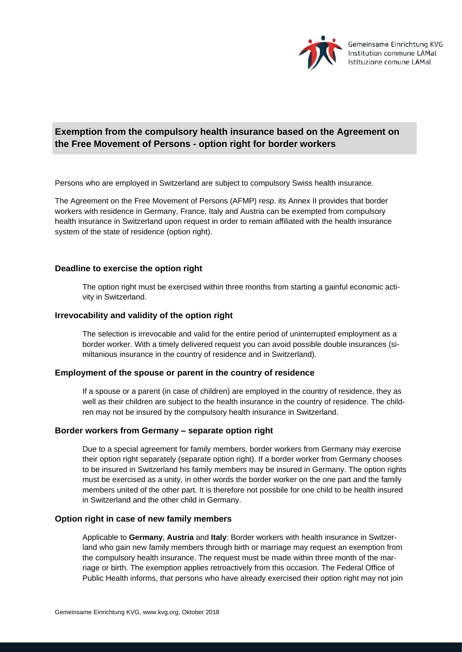

# **Exemption from the compulsory health insurance based on the Agreement on the Free Movement of Persons - option right for border workers**

Persons who are employed in Switzerland are subject to compulsory Swiss health insurance.

The Agreement on the Free Movement of Persons (AFMP) resp. its Annex II provides that border workers with residence in Germany, France, Italy and Austria can be exempted from compulsory health insurance in Switzerland upon request in order to remain affiliated with the health insurance system of the state of residence (option right).

# **Deadline to exercise the option right**

The option right must be exercised within three months from starting a gainful economic activity in Switzerland.

## **Irrevocability and validity of the option right**

The selection is irrevocable and valid for the entire period of uninterrupted employment as a border worker. With a timely delivered request you can avoid possible double insurances (similtanious insurance in the country of residence and in Switzerland).

#### **Employment of the spouse or parent in the country of residence**

If a spouse or a parent (in case of children) are employed in the country of residence, they as well as their children are subject to the health insurance in the country of residence. The children may not be insured by the compulsory health insurance in Switzerland.

#### **Border workers from Germany – separate option right**

Due to a special agreement for family members, border workers from Germany may exercise their option right separately (separate option right). If a border worker from Germany chooses to be insured in Switzerland his family members may be insured in Germany. The option rights must be exercised as a unity, in other words the border worker on the one part and the family members united of the other part. It is therefore not possbile for one child to be health insured in Switzerland and the other child in Germany.

#### **Option right in case of new family members**

Applicable to **Germany**, **Austria** and **Italy**: Border workers with health insurance in Switzerland who gain new family members through birth or marriage may request an exemption from the compulsory health insurance. The request must be made within three month of the marriage or birth. The exemption applies retroactively from this occasion. The Federal Office of Public Health informs, that persons who have already exercised their option right may not join